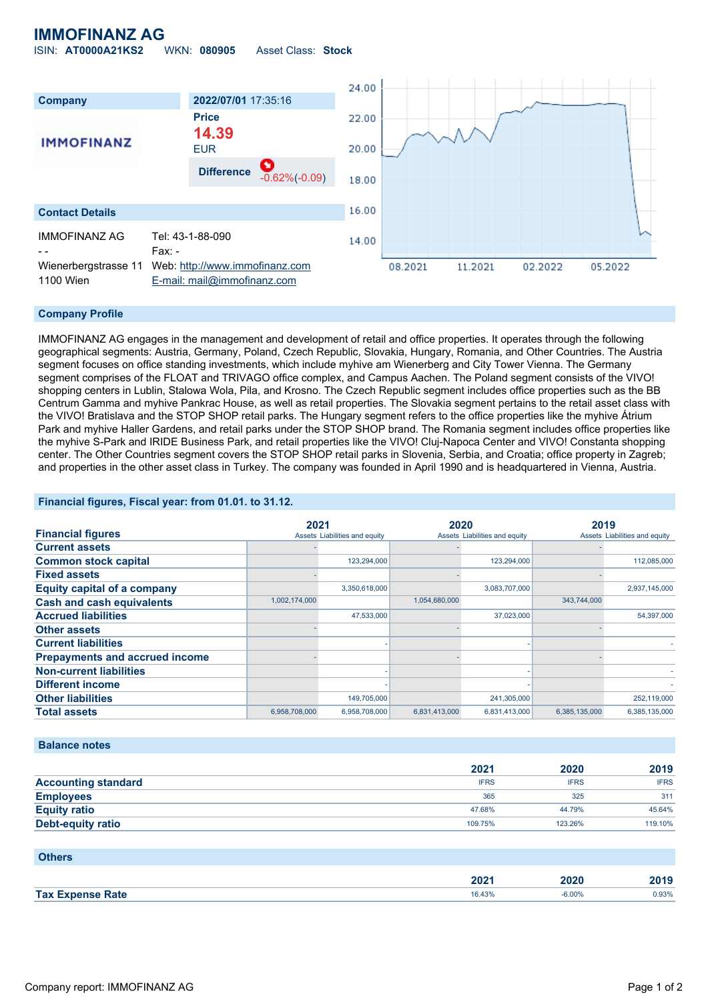## **IMMOFINANZ AG**

ISIN: **AT0000A21KS2** WKN: **080905** Asset Class: **Stock**



### **Company Profile**

IMMOFINANZ AG engages in the management and development of retail and office properties. It operates through the following geographical segments: Austria, Germany, Poland, Czech Republic, Slovakia, Hungary, Romania, and Other Countries. The Austria segment focuses on office standing investments, which include myhive am Wienerberg and City Tower Vienna. The Germany segment comprises of the FLOAT and TRIVAGO office complex, and Campus Aachen. The Poland segment consists of the VIVO! shopping centers in Lublin, Stalowa Wola, Pila, and Krosno. The Czech Republic segment includes office properties such as the BB Centrum Gamma and myhive Pankrac House, as well as retail properties. The Slovakia segment pertains to the retail asset class with the VIVO! Bratislava and the STOP SHOP retail parks. The Hungary segment refers to the office properties like the myhive Átrium Park and myhive Haller Gardens, and retail parks under the STOP SHOP brand. The Romania segment includes office properties like the myhive S-Park and IRIDE Business Park, and retail properties like the VIVO! Cluj-Napoca Center and VIVO! Constanta shopping center. The Other Countries segment covers the STOP SHOP retail parks in Slovenia, Serbia, and Croatia; office property in Zagreb; and properties in the other asset class in Turkey. The company was founded in April 1990 and is headquartered in Vienna, Austria.

### **Financial figures, Fiscal year: from 01.01. to 31.12.**

|                                       | 2021          |                               | 2020          |                               | 2019          |                               |
|---------------------------------------|---------------|-------------------------------|---------------|-------------------------------|---------------|-------------------------------|
| <b>Financial figures</b>              |               | Assets Liabilities and equity |               | Assets Liabilities and equity |               | Assets Liabilities and equity |
| <b>Current assets</b>                 |               |                               |               |                               |               |                               |
| <b>Common stock capital</b>           |               | 123,294,000                   |               | 123,294,000                   |               | 112,085,000                   |
| <b>Fixed assets</b>                   |               |                               |               |                               |               |                               |
| <b>Equity capital of a company</b>    |               | 3,350,618,000                 |               | 3,083,707,000                 |               | 2,937,145,000                 |
| <b>Cash and cash equivalents</b>      | 1,002,174,000 |                               | 1,054,680,000 |                               | 343,744,000   |                               |
| <b>Accrued liabilities</b>            |               | 47,533,000                    |               | 37,023,000                    |               | 54,397,000                    |
| <b>Other assets</b>                   |               |                               |               |                               |               |                               |
| <b>Current liabilities</b>            |               |                               |               |                               |               |                               |
| <b>Prepayments and accrued income</b> |               |                               |               |                               |               |                               |
| <b>Non-current liabilities</b>        |               |                               |               |                               |               |                               |
| <b>Different income</b>               |               |                               |               |                               |               |                               |
| <b>Other liabilities</b>              |               | 149,705,000                   |               | 241,305,000                   |               | 252,119,000                   |
| <b>Total assets</b>                   | 6,958,708,000 | 6.958.708.000                 | 6.831.413.000 | 6.831.413.000                 | 6.385.135.000 | 6.385.135.000                 |

#### **Balance notes**

|                            | 2021        | 2020        | 2019        |
|----------------------------|-------------|-------------|-------------|
| <b>Accounting standard</b> | <b>IFRS</b> | <b>IFRS</b> | <b>IFRS</b> |
| <b>Employees</b>           | 365         | 325         | 311         |
| <b>Equity ratio</b>        | 47.68%      | 44.79%      | 45.64%      |
| Debt-equity ratio          | 109.75%     | 123.26%     | 119.10%     |

| <b>Others</b>           |                  |          |       |
|-------------------------|------------------|----------|-------|
|                         | 202 <sub>1</sub> | 2020     | 2019  |
| <b>Tax Expense Rate</b> | 16.43%           | $-6.00%$ | 0.93% |